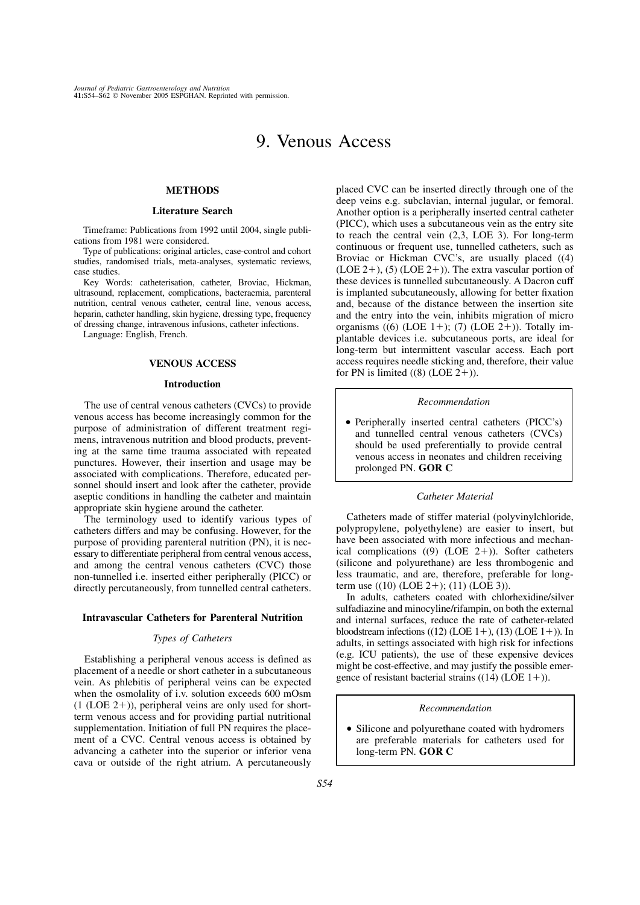# 9. Venous Access

# **METHODS**

# Literature Search

Timeframe: Publications from 1992 until 2004, single publications from 1981 were considered.

Type of publications: original articles, case-control and cohort studies, randomised trials, meta-analyses, systematic reviews, case studies.

Key Words: catheterisation, catheter, Broviac, Hickman, ultrasound, replacement, complications, bacteraemia, parenteral nutrition, central venous catheter, central line, venous access, heparin, catheter handling, skin hygiene, dressing type, frequency of dressing change, intravenous infusions, catheter infections.

Language: English, French.

# VENOUS ACCESS

## Introduction

The use of central venous catheters (CVCs) to provide venous access has become increasingly common for the purpose of administration of different treatment regimens, intravenous nutrition and blood products, preventing at the same time trauma associated with repeated punctures. However, their insertion and usage may be associated with complications. Therefore, educated personnel should insert and look after the catheter, provide aseptic conditions in handling the catheter and maintain appropriate skin hygiene around the catheter.

The terminology used to identify various types of catheters differs and may be confusing. However, for the purpose of providing parenteral nutrition (PN), it is necessary to differentiate peripheral from central venous access, and among the central venous catheters (CVC) those non-tunnelled i.e. inserted either peripherally (PICC) or directly percutaneously, from tunnelled central catheters.

## Intravascular Catheters for Parenteral Nutrition

## Types of Catheters

Establishing a peripheral venous access is defined as placement of a needle or short catheter in a subcutaneous vein. As phlebitis of peripheral veins can be expected when the osmolality of i.v. solution exceeds 600 mOsm  $(1 (LOE 2+))$ , peripheral veins are only used for shortterm venous access and for providing partial nutritional supplementation. Initiation of full PN requires the placement of a CVC. Central venous access is obtained by advancing a catheter into the superior or inferior vena cava or outside of the right atrium. A percutaneously

placed CVC can be inserted directly through one of the deep veins e.g. subclavian, internal jugular, or femoral. Another option is a peripherally inserted central catheter (PICC), which uses a subcutaneous vein as the entry site to reach the central vein (2,3, LOE 3). For long-term continuous or frequent use, tunnelled catheters, such as Broviac or Hickman CVC's, are usually placed ((4) (LOE 2+), (5) (LOE 2+)). The extra vascular portion of these devices is tunnelled subcutaneously. A Dacron cuff is implanted subcutaneously, allowing for better fixation and, because of the distance between the insertion site and the entry into the vein, inhibits migration of micro organisms ((6) (LOE 1+); (7) (LOE 2+)). Totally implantable devices i.e. subcutaneous ports, are ideal for long-term but intermittent vascular access. Each port access requires needle sticking and, therefore, their value for PN is limited  $((8)$  (LOE 2+)).

#### Recommendation

- Peripherally inserted central catheters (PICC's) and tunnelled central venous catheters (CVCs) should be used preferentially to provide central venous access in neonates and children receiving prolonged PN. GOR C

#### Catheter Material

Catheters made of stiffer material (polyvinylchloride, polypropylene, polyethylene) are easier to insert, but have been associated with more infectious and mechanical complications  $((9)$  (LOE 2+)). Softer catheters (silicone and polyurethane) are less thrombogenic and less traumatic, and are, therefore, preferable for longterm use  $((10)$  (LOE 2+);  $(11)$  (LOE 3)).

In adults, catheters coated with chlorhexidine/silver sulfadiazine and minocyline/rifampin, on both the external and internal surfaces, reduce the rate of catheter-related bloodstream infections  $((12)$  (LOE 1+),  $(13)$  (LOE 1+)). In adults, in settings associated with high risk for infections (e.g. ICU patients), the use of these expensive devices might be cost-effective, and may justify the possible emergence of resistant bacterial strains  $((14) (LOE 1+))$ .

#### Recommendation

- Silicone and polyurethane coated with hydromers are preferable materials for catheters used for long-term PN. GOR C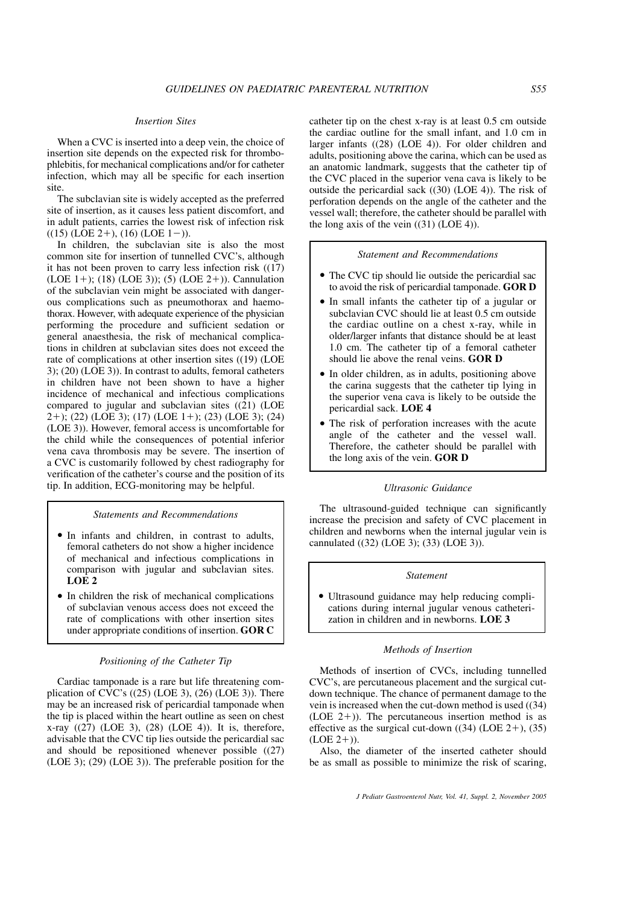## Insertion Sites

When a CVC is inserted into a deep vein, the choice of insertion site depends on the expected risk for thrombophlebitis, for mechanical complications and/or for catheter infection, which may all be specific for each insertion site.

The subclavian site is widely accepted as the preferred site of insertion, as it causes less patient discomfort, and in adult patients, carries the lowest risk of infection risk  $((15)$  (LOE 2+),  $(16)$  (LOE 1-)).

In children, the subclavian site is also the most common site for insertion of tunnelled CVC's, although it has not been proven to carry less infection risk ((17) (LOE 1+); (18) (LOE 3)); (5) (LOE 2+)). Cannulation of the subclavian vein might be associated with dangerous complications such as pneumothorax and haemothorax. However, with adequate experience of the physician performing the procedure and sufficient sedation or general anaesthesia, the risk of mechanical complications in children at subclavian sites does not exceed the rate of complications at other insertion sites ((19) (LOE 3); (20) (LOE 3)). In contrast to adults, femoral catheters in children have not been shown to have a higher incidence of mechanical and infectious complications compared to jugular and subclavian sites  $((21)$  (LOE  $2+$ ; (22) (LOE 3); (17) (LOE 1+); (23) (LOE 3); (24) (LOE 3)). However, femoral access is uncomfortable for the child while the consequences of potential inferior vena cava thrombosis may be severe. The insertion of a CVC is customarily followed by chest radiography for verification of the catheter's course and the position of its tip. In addition, ECG-monitoring may be helpful.

Statements and Recommendations

- In infants and children, in contrast to adults, femoral catheters do not show a higher incidence of mechanical and infectious complications in comparison with jugular and subclavian sites. LOE 2
- In children the risk of mechanical complications of subclavian venous access does not exceed the rate of complications with other insertion sites under appropriate conditions of insertion. GOR C

# Positioning of the Catheter Tip

Cardiac tamponade is a rare but life threatening complication of CVC's  $((25)$  (LOE 3),  $(26)$  (LOE 3)). There may be an increased risk of pericardial tamponade when the tip is placed within the heart outline as seen on chest x-ray  $((27)$  (LOE 3),  $(28)$  (LOE 4)). It is, therefore, advisable that the CVC tip lies outside the pericardial sac and should be repositioned whenever possible ((27) (LOE 3); (29) (LOE 3)). The preferable position for the

catheter tip on the chest x-ray is at least 0.5 cm outside the cardiac outline for the small infant, and 1.0 cm in larger infants ((28) (LOE 4)). For older children and adults, positioning above the carina, which can be used as an anatomic landmark, suggests that the catheter tip of the CVC placed in the superior vena cava is likely to be outside the pericardial sack ((30) (LOE 4)). The risk of perforation depends on the angle of the catheter and the vessel wall; therefore, the catheter should be parallel with the long axis of the vein  $((31)$  (LOE 4)).

# Statement and Recommendations

- The CVC tip should lie outside the pericardial sac to avoid the risk of pericardial tamponade. GOR D
- In small infants the catheter tip of a jugular or subclavian CVC should lie at least 0.5 cm outside the cardiac outline on a chest x-ray, while in older/larger infants that distance should be at least 1.0 cm. The catheter tip of a femoral catheter should lie above the renal veins. GOR D
- - In older children, as in adults, positioning above the carina suggests that the catheter tip lying in the superior vena cava is likely to be outside the pericardial sack. LOE 4
- - The risk of perforation increases with the acute angle of the catheter and the vessel wall. Therefore, the catheter should be parallel with the long axis of the vein. GOR D

#### Ultrasonic Guidance

The ultrasound-guided technique can significantly increase the precision and safety of CVC placement in children and newborns when the internal jugular vein is cannulated ((32) (LOE 3); (33) (LOE 3)).

#### Statement

- Ultrasound guidance may help reducing complications during internal jugular venous catheterization in children and in newborns. LOE 3

#### Methods of Insertion

Methods of insertion of CVCs, including tunnelled CVC's, are percutaneous placement and the surgical cutdown technique. The chance of permanent damage to the vein is increased when the cut-down method is used ((34) (LOE  $2+$ )). The percutaneous insertion method is as effective as the surgical cut-down  $((34)$  (LOE 2+),  $(35)$  $(LOE 2+)).$ 

Also, the diameter of the inserted catheter should be as small as possible to minimize the risk of scaring,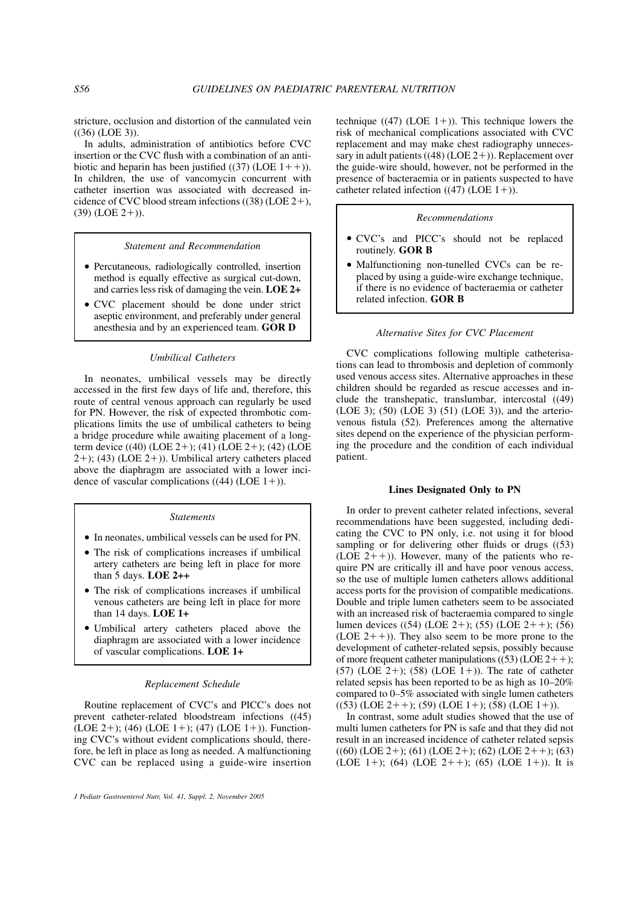stricture, occlusion and distortion of the cannulated vein  $((36) (LOE 3)).$ 

In adults, administration of antibiotics before CVC insertion or the CVC flush with a combination of an antibiotic and heparin has been justified  $((37)$  (LOE  $1++$ )). In children, the use of vancomycin concurrent with catheter insertion was associated with decreased incidence of CVC blood stream infections  $((38) (LOE 2+)$ ,  $(39)$  (LOE 2+)).

#### Statement and Recommendation

- Percutaneous, radiologically controlled, insertion method is equally effective as surgical cut-down, and carries less risk of damaging the vein. LOE 2+
- CVC placement should be done under strict aseptic environment, and preferably under general anesthesia and by an experienced team. GOR D

## Umbilical Catheters

In neonates, umbilical vessels may be directly accessed in the first few days of life and, therefore, this route of central venous approach can regularly be used for PN. However, the risk of expected thrombotic complications limits the use of umbilical catheters to being a bridge procedure while awaiting placement of a longterm device  $((40)$  (LOE 2+);  $(41)$  (LOE 2+);  $(42)$  (LOE  $2+$ ); (43) (LOE  $2+$ )). Umbilical artery catheters placed above the diaphragm are associated with a lower incidence of vascular complications  $((44)$  (LOE 1+)).

#### **Statements**

- In neonates, umbilical vessels can be used for PN.
- The risk of complications increases if umbilical artery catheters are being left in place for more than 5 days. LOE 2++
- The risk of complications increases if umbilical venous catheters are being left in place for more than 14 days. LOE 1+
- Umbilical artery catheters placed above the diaphragm are associated with a lower incidence of vascular complications. LOE 1+

#### Replacement Schedule

Routine replacement of CVC's and PICC's does not prevent catheter-related bloodstream infections ((45) (LOE 2+); (46) (LOE 1+); (47) (LOE 1+)). Functioning CVC's without evident complications should, therefore, be left in place as long as needed. A malfunctioning CVC can be replaced using a guide-wire insertion technique ((47) (LOE  $1+$ )). This technique lowers the risk of mechanical complications associated with CVC replacement and may make chest radiography unnecessary in adult patients  $((48) (LOE 2+))$ . Replacement over the guide-wire should, however, not be performed in the presence of bacteraemia or in patients suspected to have catheter related infection  $((47)$  (LOE 1+)).

## Recommendations

- CVC's and PICC's should not be replaced routinely. GOR B
- Malfunctioning non-tunelled CVCs can be replaced by using a guide-wire exchange technique, if there is no evidence of bacteraemia or catheter related infection. GOR B

## Alternative Sites for CVC Placement

CVC complications following multiple catheterisations can lead to thrombosis and depletion of commonly used venous access sites. Alternative approaches in these children should be regarded as rescue accesses and include the transhepatic, translumbar, intercostal ((49) (LOE 3); (50) (LOE 3) (51) (LOE 3)), and the arteriovenous fistula (52). Preferences among the alternative sites depend on the experience of the physician performing the procedure and the condition of each individual patient.

# Lines Designated Only to PN

In order to prevent catheter related infections, several recommendations have been suggested, including dedicating the CVC to PN only, i.e. not using it for blood sampling or for delivering other fluids or drugs ((53) (LOE  $2++$ )). However, many of the patients who require PN are critically ill and have poor venous access, so the use of multiple lumen catheters allows additional access ports for the provision of compatible medications. Double and triple lumen catheters seem to be associated with an increased risk of bacteraemia compared to single lumen devices  $((54)$  (LOE 2+); (55) (LOE 2++); (56) (LOE  $2 +$ )). They also seem to be more prone to the development of catheter-related sepsis, possibly because of more frequent catheter manipulations ((53) (LOE  $2++$ );  $(57)$  (LOE 2+); (58) (LOE 1+)). The rate of catheter related sepsis has been reported to be as high as 10–20% compared to 0–5% associated with single lumen catheters  $((53) (LOE 2++)$ ;  $(59) (LOE 1+)$ ;  $(58) (LOE 1+)$ ).

In contrast, some adult studies showed that the use of multi lumen catheters for PN is safe and that they did not result in an increased incidence of catheter related sepsis  $((60)$  (LOE 2+); (61) (LOE 2+); (62) (LOE 2++); (63) (LOE 1+); (64) (LOE 2++); (65) (LOE 1+)). It is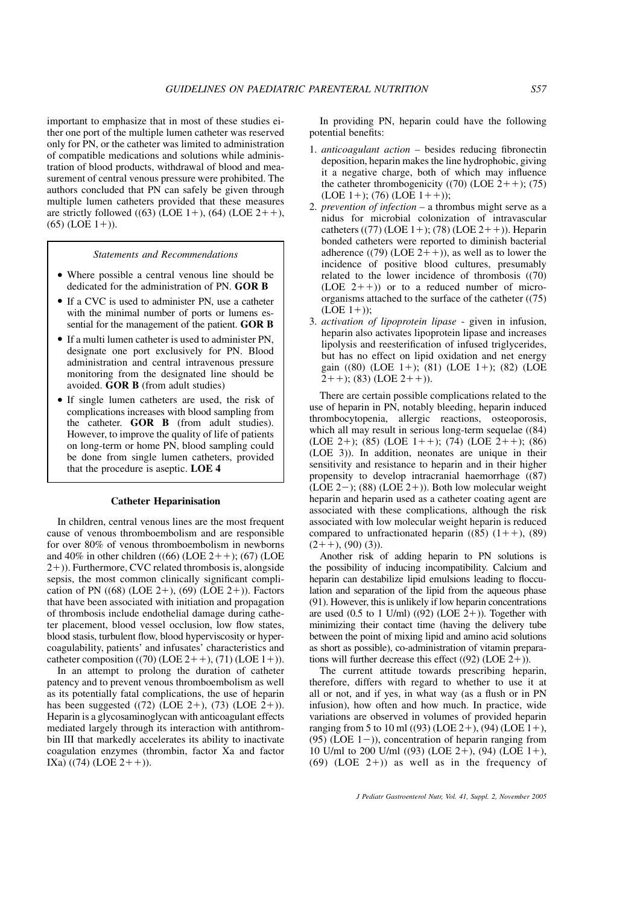important to emphasize that in most of these studies either one port of the multiple lumen catheter was reserved only for PN, or the catheter was limited to administration of compatible medications and solutions while administration of blood products, withdrawal of blood and measurement of central venous pressure were prohibited. The authors concluded that PN can safely be given through multiple lumen catheters provided that these measures are strictly followed  $((63)$  (LOE 1+),  $((64)$  (LOE 2++),  $(65)$  (LOE 1+)).

Statements and Recommendations

- Where possible a central venous line should be dedicated for the administration of PN. GOR B
- If a CVC is used to administer PN, use a catheter with the minimal number of ports or lumens essential for the management of the patient. GOR B
- If a multi lumen catheter is used to administer PN, designate one port exclusively for PN. Blood administration and central intravenous pressure monitoring from the designated line should be avoided. GOR B (from adult studies)
- If single lumen catheters are used, the risk of complications increases with blood sampling from the catheter. GOR B (from adult studies). However, to improve the quality of life of patients on long-term or home PN, blood sampling could be done from single lumen catheters, provided that the procedure is aseptic. LOE 4

## Catheter Heparinisation

In children, central venous lines are the most frequent cause of venous thromboembolism and are responsible for over 80% of venous thromboembolism in newborns and 40% in other children ((66) (LOE  $2 + +$ ); (67) (LOE  $(2+))$ . Furthermore, CVC related thrombosis is, alongside sepsis, the most common clinically significant complication of PN  $((68) (LOE 2+), (69) (LOE 2+))$ . Factors that have been associated with initiation and propagation of thrombosis include endothelial damage during catheter placement, blood vessel occlusion, low flow states, blood stasis, turbulent flow, blood hyperviscosity or hypercoagulability, patients' and infusates' characteristics and catheter composition ((70) (LOE  $2++$ ), (71) (LOE  $1+)$ ).

In an attempt to prolong the duration of catheter patency and to prevent venous thromboembolism as well as its potentially fatal complications, the use of heparin has been suggested  $((72)$  (LOE 2+),  $(73)$  (LOE 2+)). Heparin is a glycosaminoglycan with anticoagulant effects mediated largely through its interaction with antithrombin III that markedly accelerates its ability to inactivate coagulation enzymes (thrombin, factor Xa and factor  $IXa)$  ((74) (LOE 2++)).

In providing PN, heparin could have the following potential benefits:

- 1. anticoagulant action besides reducing fibronectin deposition, heparin makes the line hydrophobic, giving it a negative charge, both of which may influence the catheter thrombogenicity ((70) (LOE  $2 + +$ ); (75)  $(LOE 1+)$ ; (76)  $(LOE 1++)$ ;
- 2. prevention of infection  $-$  a thrombus might serve as a nidus for microbial colonization of intravascular catheters ((77) (LOE 1+); (78) (LOE 2++)). Heparin bonded catheters were reported to diminish bacterial adherence ((79) (LOE  $2++$ )), as well as to lower the incidence of positive blood cultures, presumably related to the lower incidence of thrombosis ((70) (LOE  $2++$ )) or to a reduced number of microorganisms attached to the surface of the catheter ((75)  $(LOE 1+$ );
- 3. activation of lipoprotein lipase given in infusion, heparin also activates lipoprotein lipase and increases lipolysis and reesterification of infused triglycerides, but has no effect on lipid oxidation and net energy gain ((80) (LOE 1+); (81) (LOE 1+); (82) (LOE  $2++$ ; (83) (LOE  $2++$ )).

There are certain possible complications related to the use of heparin in PN, notably bleeding, heparin induced thrombocytopenia, allergic reactions, osteoporosis, which all may result in serious long-term sequelae ((84)) (LOE 2+); (85) (LOE 1++); (74) (LOE 2++); (86) (LOE 3)). In addition, neonates are unique in their sensitivity and resistance to heparin and in their higher propensity to develop intracranial haemorrhage ((87)  $(LOE 2-); (88) (LOE 2+)).$  Both low molecular weight heparin and heparin used as a catheter coating agent are associated with these complications, although the risk associated with low molecular weight heparin is reduced compared to unfractionated heparin  $((85) (1+)$ ,  $(89)$  $(2++)$ , (90) (3)).

Another risk of adding heparin to PN solutions is the possibility of inducing incompatibility. Calcium and heparin can destabilize lipid emulsions leading to flocculation and separation of the lipid from the aqueous phase (91). However, this is unlikely if low heparin concentrations are used  $(0.5 \text{ to } 1 \text{ U/ml}) ((92) (\text{LOE } 2+))$ . Together with minimizing their contact time (having the delivery tube between the point of mixing lipid and amino acid solutions as short as possible), co-administration of vitamin preparations will further decrease this effect  $((92)$  (LOE 2+)).

The current attitude towards prescribing heparin, therefore, differs with regard to whether to use it at all or not, and if yes, in what way (as a flush or in PN infusion), how often and how much. In practice, wide variations are observed in volumes of provided heparin ranging from 5 to 10 ml ((93) (LOE 2+), (94) (LOE 1+), (95) (LOE  $1-$ )), concentration of heparin ranging from 10 U/ml to 200 U/ml  $((93)$  (LOE 2+),  $((94)$  (LOE 1+),  $(69)$  (LOE 2+)) as well as in the frequency of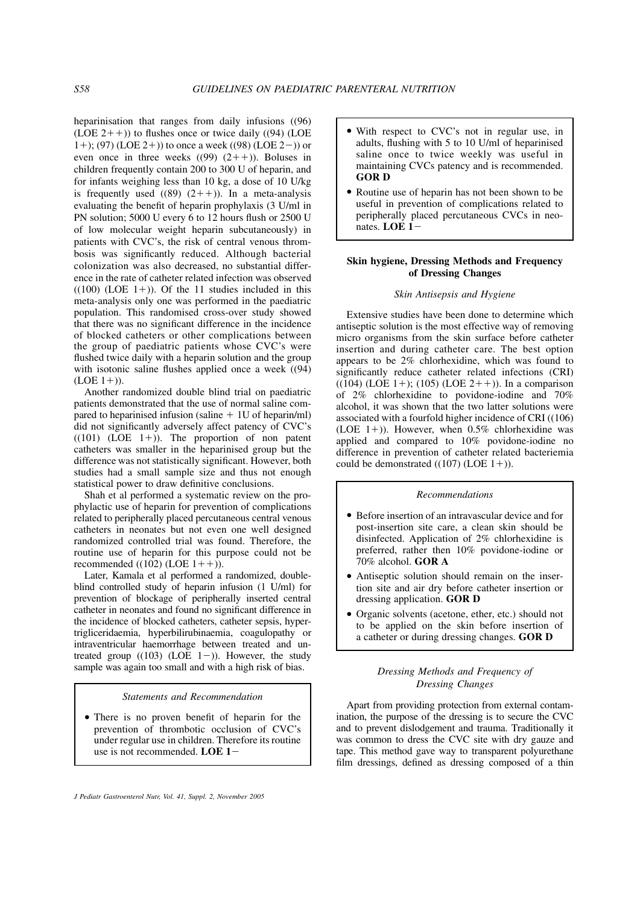heparinisation that ranges from daily infusions ((96) (LOE  $2++$ )) to flushes once or twice daily ((94) (LOE 1+); (97) (LOE 2+)) to once a week ((98) (LOE 2-)) or even once in three weeks  $((99) (2++)$ ). Boluses in children frequently contain 200 to 300 U of heparin, and for infants weighing less than 10 kg, a dose of 10 U/kg is frequently used  $((89) (2++)$ ). In a meta-analysis evaluating the benefit of heparin prophylaxis (3 U/ml in PN solution; 5000 U every 6 to 12 hours flush or 2500 U of low molecular weight heparin subcutaneously) in patients with CVC's, the risk of central venous thrombosis was significantly reduced. Although bacterial colonization was also decreased, no substantial difference in the rate of catheter related infection was observed  $((100)$  (LOE 1+)). Of the 11 studies included in this meta-analysis only one was performed in the paediatric population. This randomised cross-over study showed that there was no significant difference in the incidence of blocked catheters or other complications between the group of paediatric patients whose CVC's were flushed twice daily with a heparin solution and the group with isotonic saline flushes applied once a week ((94)  $(LOE 1+)).$ 

Another randomized double blind trial on paediatric patients demonstrated that the use of normal saline compared to heparinised infusion (saline  $+1U$  of heparin/ml) did not significantly adversely affect patency of CVC's  $((101)$  (LOE 1+)). The proportion of non patent catheters was smaller in the heparinised group but the difference was not statistically significant. However, both studies had a small sample size and thus not enough statistical power to draw definitive conclusions.

Shah et al performed a systematic review on the prophylactic use of heparin for prevention of complications related to peripherally placed percutaneous central venous catheters in neonates but not even one well designed randomized controlled trial was found. Therefore, the routine use of heparin for this purpose could not be recommended ((102) (LOE  $1++$ ).

Later, Kamala et al performed a randomized, doubleblind controlled study of heparin infusion (1 U/ml) for prevention of blockage of peripherally inserted central catheter in neonates and found no significant difference in the incidence of blocked catheters, catheter sepsis, hypertrigliceridaemia, hyperbilirubinaemia, coagulopathy or intraventricular haemorrhage between treated and untreated group  $((103) (LOE 1-))$ . However, the study sample was again too small and with a high risk of bias.

## Statements and Recommendation

- There is no proven benefit of heparin for the prevention of thrombotic occlusion of CVC's under regular use in children. Therefore its routine use is not recommended. LOE  $1-$ 

- - With respect to CVC's not in regular use, in adults, flushing with 5 to 10 U/ml of heparinised saline once to twice weekly was useful in maintaining CVCs patency and is recommended. GOR D
- Routine use of heparin has not been shown to be useful in prevention of complications related to peripherally placed percutaneous CVCs in neonates. LOE 1-

# Skin hygiene, Dressing Methods and Frequency of Dressing Changes

## Skin Antisepsis and Hygiene

Extensive studies have been done to determine which antiseptic solution is the most effective way of removing micro organisms from the skin surface before catheter insertion and during catheter care. The best option appears to be 2% chlorhexidine, which was found to significantly reduce catheter related infections (CRI)  $((104)$  (LOE 1+); (105) (LOE 2++)). In a comparison of 2% chlorhexidine to povidone-iodine and 70% alcohol, it was shown that the two latter solutions were associated with a fourfold higher incidence of CRI ((106) (LOE 1+)). However, when  $0.5\%$  chlorhexidine was applied and compared to 10% povidone-iodine no difference in prevention of catheter related bacteriemia could be demonstrated  $((107)$  (LOE 1+)).

# Recommendations

- Before insertion of an intravascular device and for post-insertion site care, a clean skin should be disinfected. Application of 2% chlorhexidine is preferred, rather then 10% povidone-iodine or  $70\%$  alcohol. GOR A
- Antiseptic solution should remain on the insertion site and air dry before catheter insertion or dressing application. GOR D
- Organic solvents (acetone, ether, etc.) should not to be applied on the skin before insertion of a catheter or during dressing changes. GOR D

# Dressing Methods and Frequency of Dressing Changes

Apart from providing protection from external contamination, the purpose of the dressing is to secure the CVC and to prevent dislodgement and trauma. Traditionally it was common to dress the CVC site with dry gauze and tape. This method gave way to transparent polyurethane film dressings, defined as dressing composed of a thin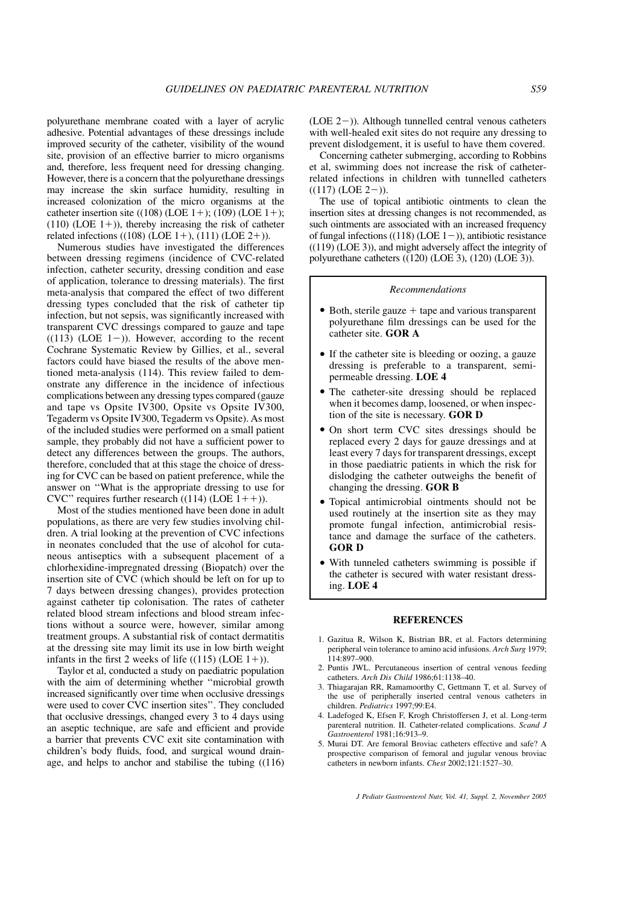polyurethane membrane coated with a layer of acrylic adhesive. Potential advantages of these dressings include improved security of the catheter, visibility of the wound site, provision of an effective barrier to micro organisms and, therefore, less frequent need for dressing changing. However, there is a concern that the polyurethane dressings may increase the skin surface humidity, resulting in increased colonization of the micro organisms at the catheter insertion site  $((108) (LOE 1+); (109) (LOE 1+);$  $(110)$  (LOE 1+)), thereby increasing the risk of catheter related infections ((108) (LOE  $1+$ ), (111) (LOE  $2+$ )).

Numerous studies have investigated the differences between dressing regimens (incidence of CVC-related infection, catheter security, dressing condition and ease of application, tolerance to dressing materials). The first meta-analysis that compared the effect of two different dressing types concluded that the risk of catheter tip infection, but not sepsis, was significantly increased with transparent CVC dressings compared to gauze and tape  $((113) (LOE 1-))$ . However, according to the recent Cochrane Systematic Review by Gillies, et al., several factors could have biased the results of the above mentioned meta-analysis (114). This review failed to demonstrate any difference in the incidence of infectious complications between any dressing types compared (gauze and tape vs Opsite IV300, Opsite vs Opsite IV300, Tegaderm vs Opsite IV300, Tegaderm vs Opsite). As most of the included studies were performed on a small patient sample, they probably did not have a sufficient power to detect any differences between the groups. The authors, therefore, concluded that at this stage the choice of dressing for CVC can be based on patient preference, while the answer on ''What is the appropriate dressing to use for CVC" requires further research  $((114)$  (LOE  $1++$ )).

Most of the studies mentioned have been done in adult populations, as there are very few studies involving children. A trial looking at the prevention of CVC infections in neonates concluded that the use of alcohol for cutaneous antiseptics with a subsequent placement of a chlorhexidine-impregnated dressing (Biopatch) over the insertion site of CVC (which should be left on for up to 7 days between dressing changes), provides protection against catheter tip colonisation. The rates of catheter related blood stream infections and blood stream infections without a source were, however, similar among treatment groups. A substantial risk of contact dermatitis at the dressing site may limit its use in low birth weight infants in the first 2 weeks of life  $((115) (LOE 1+))$ .

Taylor et al, conducted a study on paediatric population with the aim of determining whether ''microbial growth increased significantly over time when occlusive dressings were used to cover CVC insertion sites''. They concluded that occlusive dressings, changed every 3 to 4 days using an aseptic technique, are safe and efficient and provide a barrier that prevents CVC exit site contamination with children's body fluids, food, and surgical wound drainage, and helps to anchor and stabilise the tubing ((116)  $(LOE 2-)$ ). Although tunnelled central venous catheters with well-healed exit sites do not require any dressing to prevent dislodgement, it is useful to have them covered.

Concerning catheter submerging, according to Robbins et al, swimming does not increase the risk of catheterrelated infections in children with tunnelled catheters  $((117) (LOE 2-)).$ 

The use of topical antibiotic ointments to clean the insertion sites at dressing changes is not recommended, as such ointments are associated with an increased frequency of fungal infections ((118) (LOE  $1-$ )), antibiotic resistance ((119) (LOE 3)), and might adversely affect the integrity of polyurethane catheters ((120) (LOE 3), (120) (LOE 3)).

## Recommendations

- $\bullet$  Both, sterile gauze  $+$  tape and various transparent polyurethane film dressings can be used for the catheter site. GOR A
- If the catheter site is bleeding or oozing, a gauze dressing is preferable to a transparent, semipermeable dressing. LOE 4
- - The catheter-site dressing should be replaced when it becomes damp, loosened, or when inspection of the site is necessary. GOR D
- On short term CVC sites dressings should be replaced every 2 days for gauze dressings and at least every 7 days for transparent dressings, except in those paediatric patients in which the risk for dislodging the catheter outweighs the benefit of changing the dressing. GOR B
- Topical antimicrobial ointments should not be used routinely at the insertion site as they may promote fungal infection, antimicrobial resistance and damage the surface of the catheters. GOR D
- With tunneled catheters swimming is possible if the catheter is secured with water resistant dressing. LOE 4

#### **REFERENCES**

- 1. Gazitua R, Wilson K, Bistrian BR, et al. Factors determining peripheral vein tolerance to amino acid infusions. Arch Surg 1979;  $114.897 - 900$
- 2. Puntis JWL. Percutaneous insertion of central venous feeding catheters. Arch Dis Child 1986;61:1138–40.
- 3. Thiagarajan RR, Ramamoorthy C, Gettmann T, et al. Survey of the use of peripherally inserted central venous catheters in children. Pediatrics 1997;99:E4.
- 4. Ladefoged K, Efsen F, Krogh Christoffersen J, et al. Long-term parenteral nutrition. II. Catheter-related complications. Scand J Gastroenterol 1981;16:913–9.
- 5. Murai DT. Are femoral Broviac catheters effective and safe? A prospective comparison of femoral and jugular venous broviac catheters in newborn infants. Chest 2002;121:1527–30.

J Pediatr Gastroenterol Nutr, Vol. 41, Suppl. 2, November 2005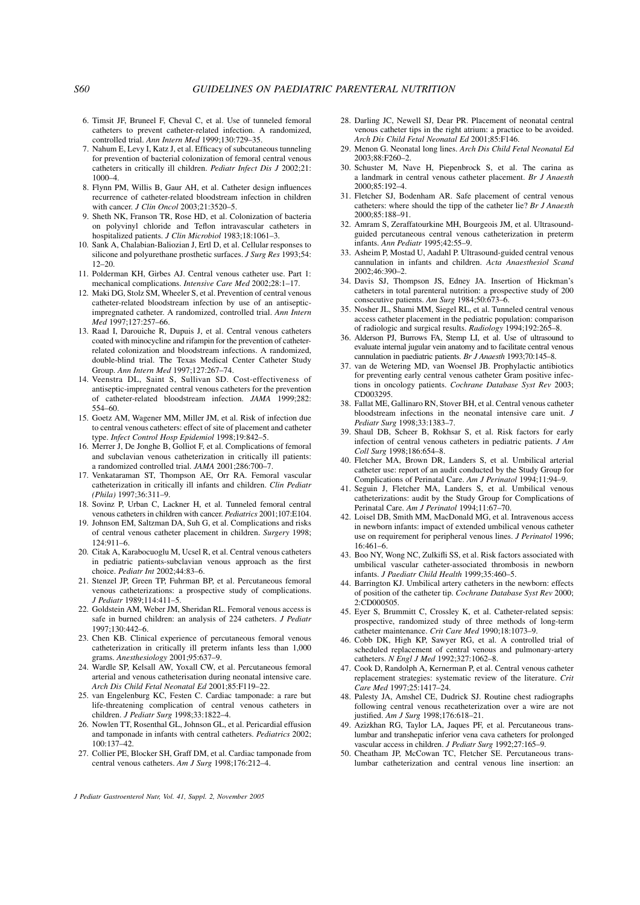- 6. Timsit JF, Bruneel F, Cheval C, et al. Use of tunneled femoral catheters to prevent catheter-related infection. A randomized, controlled trial. Ann Intern Med 1999;130:729–35.
- 7. Nahum E, Levy I, Katz J, et al. Efficacy of subcutaneous tunneling for prevention of bacterial colonization of femoral central venous catheters in critically ill children. Pediatr Infect Dis J 2002;21: 1000–4.
- 8. Flynn PM, Willis B, Gaur AH, et al. Catheter design influences recurrence of catheter-related bloodstream infection in children with cancer. *J Clin Oncol* 2003;21:3520-5.
- 9. Sheth NK, Franson TR, Rose HD, et al. Colonization of bacteria on polyvinyl chloride and Teflon intravascular catheters in hospitalized patients. J Clin Microbiol 1983;18:1061-3.
- 10. Sank A, Chalabian-Baliozian J, Ertl D, et al. Cellular responses to silicone and polyurethane prosthetic surfaces. J Surg Res 1993;54: 12–20.
- 11. Polderman KH, Girbes AJ. Central venous catheter use. Part 1: mechanical complications. Intensive Care Med 2002;28:1–17.
- 12. Maki DG, Stolz SM, Wheeler S, et al. Prevention of central venous catheter-related bloodstream infection by use of an antisepticimpregnated catheter. A randomized, controlled trial. Ann Intern Med 1997;127:257–66.
- 13. Raad I, Darouiche R, Dupuis J, et al. Central venous catheters coated with minocycline and rifampin for the prevention of catheterrelated colonization and bloodstream infections. A randomized, double-blind trial. The Texas Medical Center Catheter Study Group. Ann Intern Med 1997;127:267–74.
- 14. Veenstra DL, Saint S, Sullivan SD. Cost-effectiveness of antiseptic-impregnated central venous catheters for the prevention of catheter-related bloodstream infection. JAMA 1999;282: 554–60.
- 15. Goetz AM, Wagener MM, Miller JM, et al. Risk of infection due to central venous catheters: effect of site of placement and catheter type. Infect Control Hosp Epidemiol 1998;19:842–5.
- 16. Merrer J, De Jonghe B, Golliot F, et al. Complications of femoral and subclavian venous catheterization in critically ill patients: a randomized controlled trial. JAMA 2001;286:700–7.
- 17. Venkataraman ST, Thompson AE, Orr RA. Femoral vascular catheterization in critically ill infants and children. Clin Pediatr (Phila) 1997;36:311–9.
- 18. Sovinz P, Urban C, Lackner H, et al. Tunneled femoral central venous catheters in children with cancer. Pediatrics 2001;107:E104.
- 19. Johnson EM, Saltzman DA, Suh G, et al. Complications and risks of central venous catheter placement in children. Surgery 1998; 124:911–6.
- 20. Citak A, Karabocuoglu M, Ucsel R, et al. Central venous catheters in pediatric patients-subclavian venous approach as the first choice. Pediatr Int 2002;44:83–6.
- 21. Stenzel JP, Green TP, Fuhrman BP, et al. Percutaneous femoral venous catheterizations: a prospective study of complications. J Pediatr 1989;114:411–5.
- 22. Goldstein AM, Weber JM, Sheridan RL. Femoral venous access is safe in burned children: an analysis of 224 catheters. J Pediatr 1997;130:442–6.
- 23. Chen KB. Clinical experience of percutaneous femoral venous catheterization in critically ill preterm infants less than 1,000 grams. Anesthesiology 2001;95:637–9.
- 24. Wardle SP, Kelsall AW, Yoxall CW, et al. Percutaneous femoral arterial and venous catheterisation during neonatal intensive care. Arch Dis Child Fetal Neonatal Ed 2001;85:F119–22.
- 25. van Engelenburg KC, Festen C. Cardiac tamponade: a rare but life-threatening complication of central venous catheters in children. J Pediatr Surg 1998;33:1822–4.
- 26. Nowlen TT, Rosenthal GL, Johnson GL, et al. Pericardial effusion and tamponade in infants with central catheters. Pediatrics 2002; 100:137–42.
- 27. Collier PE, Blocker SH, Graff DM, et al. Cardiac tamponade from central venous catheters. Am J Surg 1998;176:212-4.
- 28. Darling JC, Newell SJ, Dear PR. Placement of neonatal central venous catheter tips in the right atrium: a practice to be avoided. Arch Dis Child Fetal Neonatal Ed 2001;85:F146.
- 29. Menon G. Neonatal long lines. Arch Dis Child Fetal Neonatal Ed 2003;88:F260–2.
- 30. Schuster M, Nave H, Piepenbrock S, et al. The carina as a landmark in central venous catheter placement. Br J Anaesth 2000;85:192–4.
- 31. Fletcher SJ, Bodenham AR. Safe placement of central venous catheters: where should the tipp of the catheter lie? Br J Anaesth 2000;85:188–91.
- 32. Amram S, Zeraffatourkine MH, Bourgeois JM, et al. Ultrasoundguided percutaneous central venous catheterization in preterm infants. Ann Pediatr 1995;42:55–9.
- 33. Asheim P, Mostad U, Aadahl P. Ultrasound-guided central venous cannulation in infants and children. Acta Anaesthesiol Scand 2002;46:390–2.
- 34. Davis SJ, Thompson JS, Edney JA. Insertion of Hickman's catheters in total parenteral nutrition: a prospective study of 200 consecutive patients. Am Surg 1984;50:673–6.
- 35. Nosher JL, Shami MM, Siegel RL, et al. Tunneled central venous access catheter placement in the pediatric population: comparison of radiologic and surgical results. Radiology 1994;192:265–8.
- 36. Alderson PJ, Burrows FA, Stemp LI, et al. Use of ultrasound to evaluate internal jugular vein anatomy and to facilitate central venous cannulation in paediatric patients. Br J Anaesth 1993;70:145–8.
- 37. van de Wetering MD, van Woensel JB. Prophylactic antibiotics for preventing early central venous catheter Gram positive infections in oncology patients. Cochrane Database Syst Rev 2003; CD003295.
- 38. Fallat ME, Gallinaro RN, Stover BH, et al. Central venous catheter bloodstream infections in the neonatal intensive care unit. J Pediatr Surg 1998;33:1383–7.
- 39. Shaul DB, Scheer B, Rokhsar S, et al. Risk factors for early infection of central venous catheters in pediatric patients. J Am Coll Surg 1998;186:654–8.
- 40. Fletcher MA, Brown DR, Landers S, et al. Umbilical arterial catheter use: report of an audit conducted by the Study Group for Complications of Perinatal Care. Am J Perinatol 1994;11:94–9.
- 41. Seguin J, Fletcher MA, Landers S, et al. Umbilical venous catheterizations: audit by the Study Group for Complications of Perinatal Care. Am J Perinatol 1994;11:67–70.
- 42. Loisel DB, Smith MM, MacDonald MG, et al. Intravenous access in newborn infants: impact of extended umbilical venous catheter use on requirement for peripheral venous lines. J Perinatol 1996; 16:461–6.
- 43. Boo NY, Wong NC, Zulkifli SS, et al. Risk factors associated with umbilical vascular catheter-associated thrombosis in newborn infants. J Paediatr Child Health 1999;35:460–5.
- 44. Barrington KJ. Umbilical artery catheters in the newborn: effects of position of the catheter tip. Cochrane Database Syst Rev 2000; 2:CD000505.
- 45. Eyer S, Brummitt C, Crossley K, et al. Catheter-related sepsis: prospective, randomized study of three methods of long-term catheter maintenance. Crit Care Med 1990;18:1073–9.
- 46. Cobb DK, High KP, Sawyer RG, et al. A controlled trial of scheduled replacement of central venous and pulmonary-artery catheters. N Engl J Med 1992;327:1062–8.
- 47. Cook D, Randolph A, Kernerman P, et al. Central venous catheter replacement strategies: systematic review of the literature. Crit Care Med 1997;25:1417–24.
- 48. Palesty JA, Amshel CE, Dudrick SJ. Routine chest radiographs following central venous recatheterization over a wire are not justified. Am J Surg 1998;176:618–21.
- 49. Azizkhan RG, Taylor LA, Jaques PF, et al. Percutaneous translumbar and transhepatic inferior vena cava catheters for prolonged vascular access in children. J Pediatr Surg 1992;27:165-9.
- 50. Cheatham JP, McCowan TC, Fletcher SE. Percutaneous translumbar catheterization and central venous line insertion: an

J Pediatr Gastroenterol Nutr, Vol. 41, Suppl. 2, November 2005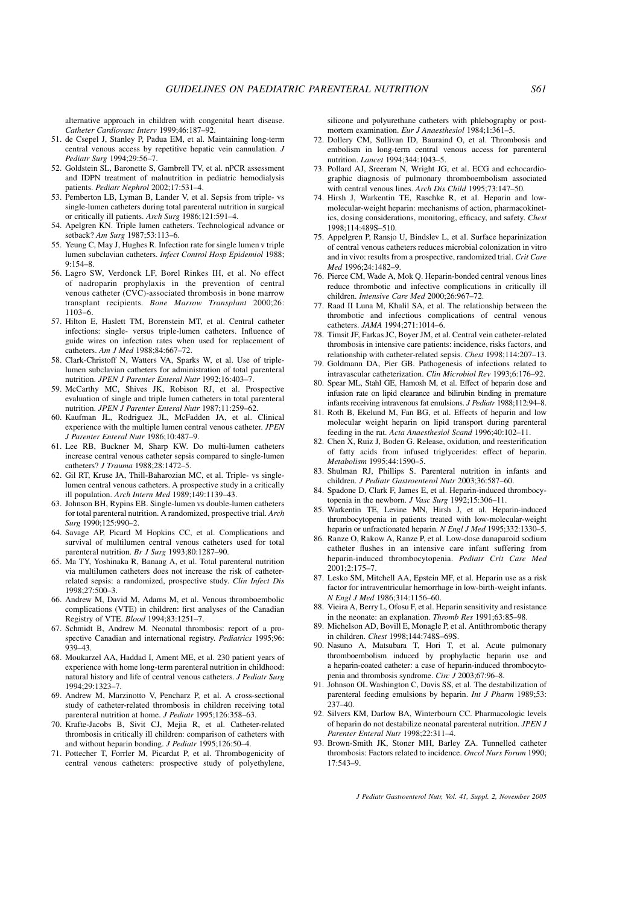alternative approach in children with congenital heart disease. Catheter Cardiovasc Interv 1999;46:187–92.

- 51. de Csepel J, Stanley P, Padua EM, et al. Maintaining long-term central venous access by repetitive hepatic vein cannulation. J Pediatr Surg 1994;29:56–7.
- 52. Goldstein SL, Baronette S, Gambrell TV, et al. nPCR assessment and IDPN treatment of malnutrition in pediatric hemodialysis patients. Pediatr Nephrol 2002;17:531–4.
- 53. Pemberton LB, Lyman B, Lander V, et al. Sepsis from triple- vs single-lumen catheters during total parenteral nutrition in surgical or critically ill patients. Arch Surg 1986;121:591–4.
- 54. Apelgren KN. Triple lumen catheters. Technological advance or setback? Am Surg 1987;53:113-6.
- 55. Yeung C, May J, Hughes R. Infection rate for single lumen v triple lumen subclavian catheters. Infect Control Hosp Epidemiol 1988;  $9.154 - 8$
- 56. Lagro SW, Verdonck LF, Borel Rinkes IH, et al. No effect of nadroparin prophylaxis in the prevention of central venous catheter (CVC)-associated thrombosis in bone marrow transplant recipients. Bone Marrow Transplant 2000;26: 1103–6.
- 57. Hilton E, Haslett TM, Borenstein MT, et al. Central catheter infections: single- versus triple-lumen catheters. Influence of guide wires on infection rates when used for replacement of catheters. Am J Med 1988;84:667–72.
- 58. Clark-Christoff N, Watters VA, Sparks W, et al. Use of triplelumen subclavian catheters for administration of total parenteral nutrition. JPEN J Parenter Enteral Nutr 1992;16:403–7.
- 59. McCarthy MC, Shives JK, Robison RJ, et al. Prospective evaluation of single and triple lumen catheters in total parenteral nutrition. JPEN J Parenter Enteral Nutr 1987;11:259-62.
- 60. Kaufman JL, Rodriguez JL, McFadden JA, et al. Clinical experience with the multiple lumen central venous catheter. JPEN J Parenter Enteral Nutr 1986;10:487–9.
- 61. Lee RB, Buckner M, Sharp KW. Do multi-lumen catheters increase central venous catheter sepsis compared to single-lumen catheters? *J Trauma* 1988;28:1472-5.
- 62. Gil RT, Kruse JA, Thill-Baharozian MC, et al. Triple- vs singlelumen central venous catheters. A prospective study in a critically ill population. Arch Intern Med 1989;149:1139–43.
- 63. Johnson BH, Rypins EB. Single-lumen vs double-lumen catheters for total parenteral nutrition. A randomized, prospective trial. Arch Surg 1990;125:990–2.
- 64. Savage AP, Picard M Hopkins CC, et al. Complications and survival of multilumen central venous catheters used for total parenteral nutrition. Br J Surg 1993;80:1287–90.
- 65. Ma TY, Yoshinaka R, Banaag A, et al. Total parenteral nutrition via multilumen catheters does not increase the risk of catheterrelated sepsis: a randomized, prospective study. Clin Infect Dis 1998;27:500–3.
- 66. Andrew M, David M, Adams M, et al. Venous thromboembolic complications (VTE) in children: first analyses of the Canadian Registry of VTE. Blood 1994;83:1251–7.
- 67. Schmidt B, Andrew M. Neonatal thrombosis: report of a prospective Canadian and international registry. Pediatrics 1995:96: 939–43.
- 68. Moukarzel AA, Haddad I, Ament ME, et al. 230 patient years of experience with home long-term parenteral nutrition in childhood: natural history and life of central venous catheters. J Pediatr Surg 1994;29:1323–7.
- 69. Andrew M, Marzinotto V, Pencharz P, et al. A cross-sectional study of catheter-related thrombosis in children receiving total parenteral nutrition at home. J Pediatr 1995;126:358–63.
- 70. Krafte-Jacobs B, Sivit CJ, Mejia R, et al. Catheter-related thrombosis in critically ill children: comparison of catheters with and without heparin bonding. J Pediatr 1995;126:50–4.
- 71. Pottecher T, Forrler M, Picardat P, et al. Thrombogenicity of central venous catheters: prospective study of polyethylene,

silicone and polyurethane catheters with phlebography or postmortem examination. Eur J Anaesthesiol 1984;1:361–5.

- 72. Dollery CM, Sullivan ID, Bauraind O, et al. Thrombosis and embolism in long-term central venous access for parenteral nutrition. Lancet 1994;344:1043–5.
- 73. Pollard AJ, Sreeram N, Wright JG, et al. ECG and echocardiographic diagnosis of pulmonary thromboembolism associated with central venous lines. Arch Dis Child 1995;73:147–50.
- 74. Hirsh J, Warkentin TE, Raschke R, et al. Heparin and lowmolecular-weight heparin: mechanisms of action, pharmacokinetics, dosing considerations, monitoring, efficacy, and safety. Chest 1998;114:489S–510.
- 75. Appelgren P, Ransjo U, Bindslev L, et al. Surface heparinization of central venous catheters reduces microbial colonization in vitro and in vivo: results from a prospective, randomized trial. Crit Care Med 1996;24:1482–9.
- 76. Pierce CM, Wade A, Mok Q. Heparin-bonded central venous lines reduce thrombotic and infective complications in critically ill children. Intensive Care Med 2000;26:967–72.
- 77. Raad II Luna M, Khalil SA, et al. The relationship between the thrombotic and infectious complications of central venous catheters. JAMA 1994;271:1014–6.
- 78. Timsit JF, Farkas JC, Boyer JM, et al. Central vein catheter-related thrombosis in intensive care patients: incidence, risks factors, and relationship with catheter-related sepsis. Chest 1998;114:207–13.
- 79. Goldmann DA, Pier GB. Pathogenesis of infections related to intravascular catheterization. Clin Microbiol Rev 1993;6:176–92.
- 80. Spear ML, Stahl GE, Hamosh M, et al. Effect of heparin dose and infusion rate on lipid clearance and bilirubin binding in premature infants receiving intravenous fat emulsions. J Pediatr 1988;112:94–8.
- 81. Roth B, Ekelund M, Fan BG, et al. Effects of heparin and low molecular weight heparin on lipid transport during parenteral feeding in the rat. Acta Anaesthesiol Scand 1996;40:102–11.
- 82. Chen X, Ruiz J, Boden G. Release, oxidation, and reesterification of fatty acids from infused triglycerides: effect of heparin. Metabolism 1995;44:1590–5.
- 83. Shulman RJ, Phillips S. Parenteral nutrition in infants and children. J Pediatr Gastroenterol Nutr 2003;36:587–60.
- 84. Spadone D, Clark F, James E, et al. Heparin-induced thrombocytopenia in the newborn. J Vasc Surg 1992;15:306-11.
- 85. Warkentin TE, Levine MN, Hirsh J, et al. Heparin-induced thrombocytopenia in patients treated with low-molecular-weight heparin or unfractionated heparin. N Engl J Med 1995;332:1330–5.
- 86. Ranze O, Rakow A, Ranze P, et al. Low-dose danaparoid sodium catheter flushes in an intensive care infant suffering from heparin-induced thrombocytopenia. Pediatr Crit Care Med  $2001:2:175-7$
- 87. Lesko SM, Mitchell AA, Epstein MF, et al. Heparin use as a risk factor for intraventricular hemorrhage in low-birth-weight infants. N Engl J Med 1986;314:1156–60.
- 88. Vieira A, Berry L, Ofosu F, et al. Heparin sensitivity and resistance in the neonate: an explanation. Thromb Res 1991;63:85–98.
- 89. Michelson AD, Bovill E, Monagle P, et al. Antithrombotic therapy in children. Chest 1998;144:748S–69S.
- 90. Nasuno A, Matsubara T, Hori T, et al. Acute pulmonary thromboembolism induced by prophylactic heparin use and a heparin-coated catheter: a case of heparin-induced thrombocytopenia and thrombosis syndrome. Circ J 2003;67:96–8.
- 91. Johnson OL Washington C, Davis SS, et al. The destabilization of parenteral feeding emulsions by heparin. Int J Pharm 1989;53: 237–40.
- 92. Silvers KM, Darlow BA, Winterbourn CC. Pharmacologic levels of heparin do not destabilize neonatal parenteral nutrition. JPEN J Parenter Enteral Nutr 1998;22:311–4.
- 93. Brown-Smith JK, Stoner MH, Barley ZA. Tunnelled catheter thrombosis: Factors related to incidence. Oncol Nurs Forum 1990; 17:543–9.

J Pediatr Gastroenterol Nutr, Vol. 41, Suppl. 2, November 2005